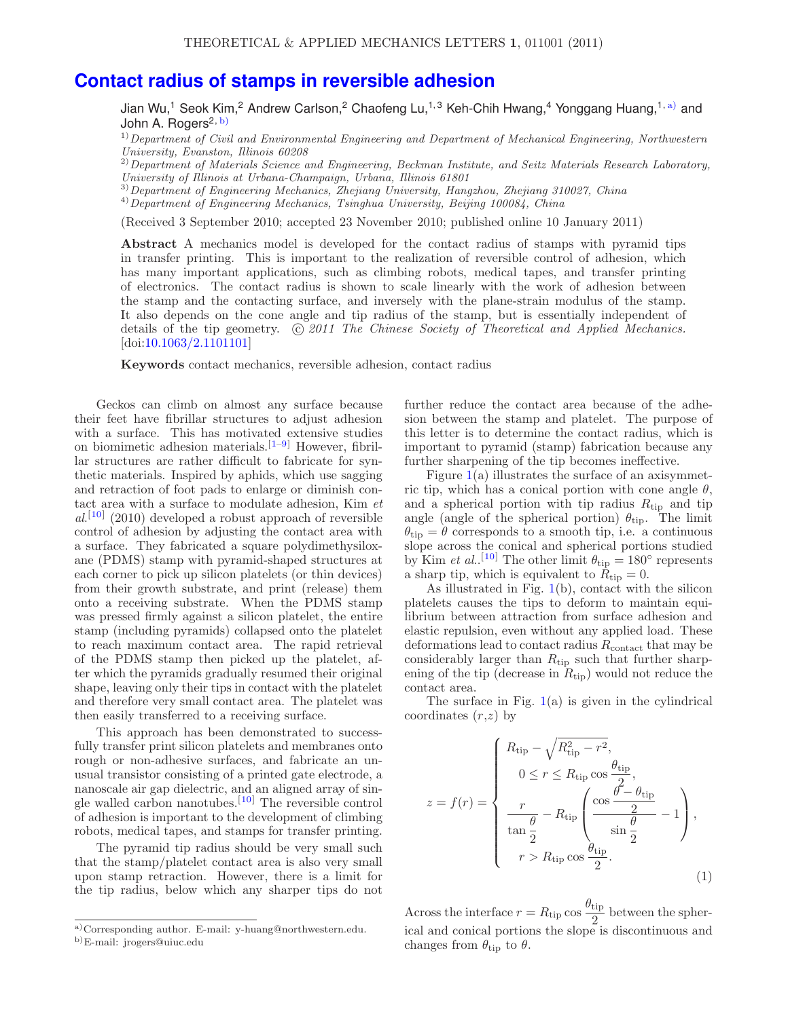## **Contact radius of stamps in reversible adhesion**

Jian Wu,<sup>1</sup> Seok Kim,<sup>2</sup> Andrew Carlson,<sup>2</sup> Chaofeng Lu,<sup>1,3</sup> Keh-Chih Hwang,<sup>4</sup> Yonggang Huang,<sup>1, a)</sup> and John A. Rogers<sup>2, b)</sup>

 $1)$  Department of Civil and Environmental Engineering and Department of Mechanical Engineering, Northwestern University, Evanston, Illinois 60208

<sup>2)</sup> Department of Materials Science and Engineering, Beckman Institute, and Seitz Materials Research Laboratory, University of Illinois at Urbana-Champaign, Urbana, Illinois 61801

<sup>3)</sup>Department of Engineering Mechanics, Zhejiang University, Hangzhou, Zhejiang 310027, China <sup>4)</sup>Department of Engineering Mechanics, Tsinghua University, Beijing 100084, China

(Received 3 September 2010; accepted 23 November 2010; published online 10 January 2011)

**Abstract** A mechanics model is developed for the contact radius of stamps with pyramid tips in transfer printing. This is important to the realization of reversible control of adhesion, which has many important applications, such as climbing robots, medical tapes, and transfer printing of electronics. The contact radius is shown to scale linearly with the work of adhesion between the stamp and the contacting surface, and inversely with the plane-strain modulus of the stamp. It also depends on the cone angle and tip radius of the stamp, but is essentially independent of details of the tip geometry.  $\ddot{\odot} 2011$  The Chinese Society of Theoretical and Applied Mechanics. [doi:10.1063/2.1101101]

**Keywords** contact mechanics, reversible adhesion, contact radius

Geckos can climb on almost any surface because their feet have fibrillar structures to adjust adhesion with a surface. This has motivated extensive studies on biomimetic adhesion materials.[1–9] However, fibrillar structures are rather difficult to fabricate for synthetic materials. Inspired by aphids, which use sagging and retraction of foot pads to enlarge or diminish contact area with a surface to modulate adhesion, Kim et  $al.$ <sup>[10]</sup> (2010) developed a robust approach of reversible control of adhesion by adjusting the contact area with a surface. They fabricated a square polydimethysiloxane (PDMS) stamp with pyramid-shaped structures at each corner to pick up silicon platelets (or thin devices) from their growth substrate, and print (release) them onto a receiving substrate. When the PDMS stamp was pressed firmly against a silicon platelet, the entire stamp (including pyramids) collapsed onto the platelet to reach maximum contact area. The rapid retrieval of the PDMS stamp then picked up the platelet, after which the pyramids gradually resumed their original shape, leaving only their tips in contact with the platelet and therefore very small contact area. The platelet was then easily transferred to a receiving surface.

This approach has been demonstrated to successfully transfer print silicon platelets and membranes onto rough or non-adhesive surfaces, and fabricate an unusual transistor consisting of a printed gate electrode, a nanoscale air gap dielectric, and an aligned array of single walled carbon nanotubes.[10] The reversible control of adhesion is important to the development of climbing robots, medical tapes, and stamps for transfer printing.

The pyramid tip radius should be very small such that the stamp/platelet contact area is also very small upon stamp retraction. However, there is a limit for the tip radius, below which any sharper tips do not further reduce the contact area because of the adhesion between the stamp and platelet. The purpose of this letter is to determine the contact radius, which is important to pyramid (stamp) fabrication because any further sharpening of the tip becomes ineffective.

Figure  $1(a)$  illustrates the surface of an axisymmetric tip, which has a conical portion with cone angle  $\theta$ , and a spherical portion with tip radius  $R_{\text{tip}}$  and tip angle (angle of the spherical portion)  $\theta_{\text{tip}}$ . The limit  $\theta_{\text{tip}} = \theta$  corresponds to a smooth tip, i.e. a continuous slope across the conical and spherical portions studied by Kim *et al.*.<sup>[10]</sup> The other limit  $\theta_{\text{tip}} = 180^{\circ}$  represents a sharp tip, which is equivalent to  $\bar{R}_{\text{tip}} = 0$ .

As illustrated in Fig.  $1(b)$ , contact with the silicon platelets causes the tips to deform to maintain equilibrium between attraction from surface adhesion and elastic repulsion, even without any applied load. These deformations lead to contact radius  $R_{\text{contact}}$  that may be considerably larger than  $R_{\text{tip}}$  such that further sharpening of the tip (decrease in  $R_{\text{tip}}$ ) would not reduce the contact area.

The surface in Fig.  $1(a)$  is given in the cylindrical coordinates  $(r,z)$  by

$$
z = f(r) = \begin{cases} R_{\text{tip}} - \sqrt{R_{\text{tip}}^2 - r^2}, \\ 0 \le r \le R_{\text{tip}} \cos \frac{\theta_{\text{tip}}}{2}, \\ \frac{r}{\tan \frac{\theta}{2}} - R_{\text{tip}} \left( \frac{\cos \frac{\theta - \theta_{\text{tip}}}{2}}{\sin \frac{\theta}{2}} - 1 \right), \\ r > R_{\text{tip}} \cos \frac{\theta_{\text{tip}}}{2}. \end{cases}
$$
(1)

Across the interface  $r = R_{\text{tip}} \cos \frac{\theta_{\text{tip}}}{2}$  between the spherical and conical portions the slope is discontinuous and changes from  $\theta_{\text{tip}}$  to  $\theta$ .

a)Corresponding author. E-mail: y-huang@northwestern.edu.

b)E-mail: jrogers@uiuc.edu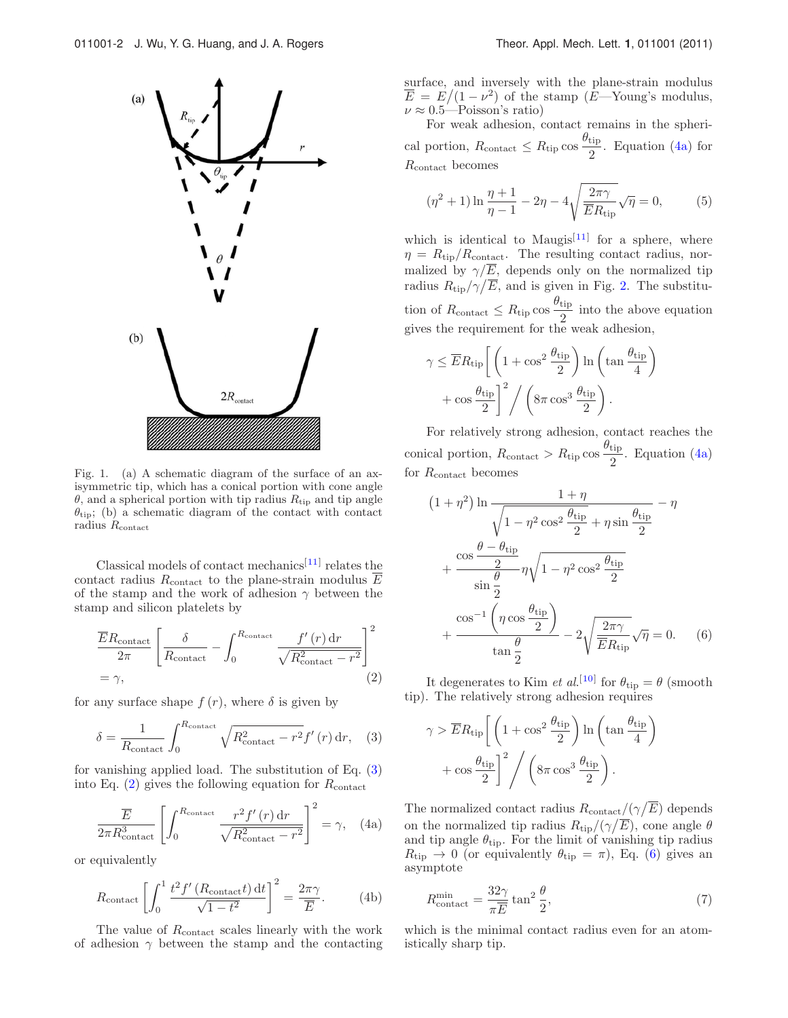

Fig. 1. (a) A schematic diagram of the surface of an axisymmetric tip, which has a conical portion with cone angle  $\theta$ , and a spherical portion with tip radius  $R_{\text{tip}}$  and tip angle  $\theta_{\text{tip}}$ ; (b) a schematic diagram of the contact with contact radius  $R_{\text{contact}}$ 

Classical models of contact mechanics<sup>[11]</sup> relates the contact radius  $R_{\text{contact}}$  to the plane-strain modulus  $\overline{E}$ of the stamp and the work of adhesion  $\gamma$  between the stamp and silicon platelets by

$$
\frac{\overline{E}R_{\text{contact}}}{2\pi} \left[ \frac{\delta}{R_{\text{contact}}} - \int_0^{R_{\text{contact}}} \frac{f'(r) dr}{\sqrt{R_{\text{contact}}^2 - r^2}} \right]^2
$$
  
=  $\gamma$ , (2)

for any surface shape  $f(r)$ , where  $\delta$  is given by

$$
\delta = \frac{1}{R_{\text{contact}}} \int_0^{R_{\text{contact}}} \sqrt{R_{\text{contact}}^2 - r^2} f'(r) \, dr, \quad (3)
$$

for vanishing applied load. The substitution of Eq. (3) into Eq.  $(2)$  gives the following equation for  $R_{\text{contact}}$ 

$$
\frac{\overline{E}}{2\pi R_{\text{contact}}^3} \left[ \int_0^{R_{\text{contact}}} \frac{r^2 f'(r) dr}{\sqrt{R_{\text{contact}}^2 - r^2}} \right]^2 = \gamma, \quad (4a)
$$

or equivalently

$$
R_{\text{contact}} \left[ \int_0^1 \frac{t^2 f'(R_{\text{contact}} t) dt}{\sqrt{1 - t^2}} \right]^2 = \frac{2\pi \gamma}{\overline{E}}.
$$
 (4b)

The value of  $R_{\rm contact}$  scales linearly with the work of adhesion  $\gamma$  between the stamp and the contacting surface, and inversely with the plane-strain modulus  $\overline{E} = E/(1-\nu^2)$  of the stamp (E—Young's modulus,  $\nu \approx 0.5$ —Poisson's ratio)

For weak adhesion, contact remains in the spherical portion,  $R_{\text{contact}} \leq R_{\text{tip}} \cos \frac{\theta_{\text{tip}}}{2}$ . Equation (4a) for Rcontact becomes

$$
(\eta^2 + 1) \ln \frac{\eta + 1}{\eta - 1} - 2\eta - 4\sqrt{\frac{2\pi\gamma}{\overline{E}R_{\text{tip}}}}\sqrt{\eta} = 0, \quad (5)
$$

which is identical to Maugis<sup>[11]</sup> for a sphere, where  $\eta = R_{\rm tip}/R_{\rm contact}$ . The resulting contact radius, normalized by  $\gamma/\overline{E}$ , depends only on the normalized tip radius  $R_{\text{tip}}/\gamma/\overline{E}$ , and is given in Fig. 2. The substitution of  $R_{\text{contact}} \leq R_{\text{tip}} \cos \frac{\theta_{\text{tip}}}{2}$  into the above equation gives the requirement for the weak adhesion,

$$
\gamma \leq \overline{E} R_{\text{tip}} \left[ \left( 1 + \cos^2 \frac{\theta_{\text{tip}}}{2} \right) \ln \left( \tan \frac{\theta_{\text{tip}}}{4} \right) + \cos \frac{\theta_{\text{tip}}}{2} \right]^2 / \left( 8\pi \cos^3 \frac{\theta_{\text{tip}}}{2} \right).
$$

For relatively strong adhesion, contact reaches the conical portion,  $R_{\text{contact}} > R_{\text{tip}} \cos \frac{\theta_{\text{tip}}}{2}$ . Equation (4a) for  $R_{\text{contact}}$  becomes

$$
(1 + \eta^2) \ln \frac{1 + \eta}{\sqrt{1 - \eta^2 \cos^2 \frac{\theta_{\text{tip}}}{2} + \eta \sin \frac{\theta_{\text{tip}}}{2}}} - \eta
$$
  
+ 
$$
\frac{\cos \frac{\theta - \theta_{\text{tip}}}{2}}{\sin \frac{\theta}{2}} \eta \sqrt{1 - \eta^2 \cos^2 \frac{\theta_{\text{tip}}}{2}}
$$
  
+ 
$$
\frac{\cos^{-1} \left(\eta \cos \frac{\theta_{\text{tip}}}{2}\right)}{\tan \frac{\theta}{2}} - 2 \sqrt{\frac{2\pi \gamma}{ER_{\text{tip}}}} \sqrt{\eta} = 0. \quad (6)
$$

It degenerates to Kim *et al.*<sup>[10]</sup> for  $\theta_{\text{tip}} = \theta$  (smooth tip). The relatively strong adhesion requires

$$
\gamma > \overline{E} R_{\text{tip}} \left[ \left( 1 + \cos^2 \frac{\theta_{\text{tip}}}{2} \right) \ln \left( \tan \frac{\theta_{\text{tip}}}{4} \right) + \cos \frac{\theta_{\text{tip}}}{2} \right]^2 / \left( 8\pi \cos^3 \frac{\theta_{\text{tip}}}{2} \right).
$$

The normalized contact radius  $R_{\text{contact}}/(\gamma/\overline{E})$  depends on the normalized tip radius  $R_{\text{tip}}/(\gamma/\overline{E})$ , cone angle  $\theta$ and tip angle  $\theta_{\text{tip}}$ . For the limit of vanishing tip radius  $R_{\text{tip}} \rightarrow 0$  (or equivalently  $\theta_{\text{tip}} = \pi$ ), Eq. (6) gives an asymptote

$$
R_{\text{contact}}^{\text{min}} = \frac{32\gamma}{\pi \overline{E}} \tan^2 \frac{\theta}{2},\tag{7}
$$

which is the minimal contact radius even for an atomistically sharp tip.